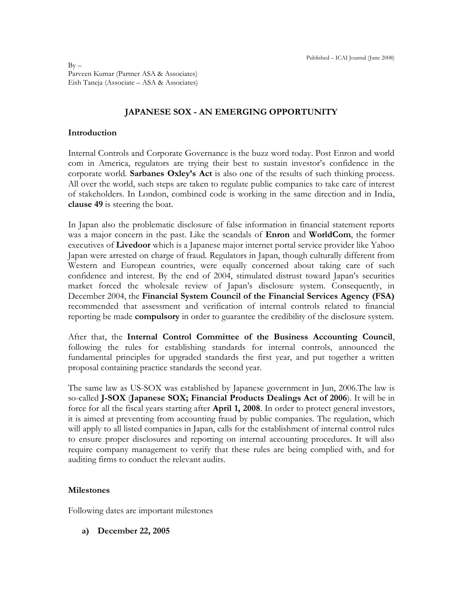$Bv -$ Parveen Kumar (Partner ASA & Associates) Eish Taneja (Associate – ASA & Associates)

## **JAPANESE SOX - AN EMERGING OPPORTUNITY**

#### **Introduction**

Internal Controls and Corporate Governance is the buzz word today. Post Enron and world com in America, regulators are trying their best to sustain investor's confidence in the corporate world. **Sarbanes Oxley's Act** is also one of the results of such thinking process. All over the world, such steps are taken to regulate public companies to take care of interest of stakeholders. In London, combined code is working in the same direction and in India, **clause 49** is steering the boat.

In Japan also the problematic disclosure of false information in financial statement reports was a major concern in the past. Like the scandals of **Enron** and **WorldCom**, the former executives of **Livedoor** which is a Japanese major internet portal service provider like Yahoo Japan were arrested on charge of fraud. Regulators in Japan, though culturally different from Western and European countries, were equally concerned about taking care of such confidence and interest. By the end of 2004, stimulated distrust toward Japan"s securities market forced the wholesale review of Japan"s disclosure system. Consequently, in December 2004, the **Financial System Council of the Financial Services Agency (FSA)** recommended that assessment and verification of internal controls related to financial reporting be made **compulsory** in order to guarantee the credibility of the disclosure system.

After that, the **Internal Control Committee of the Business Accounting Council**, following the rules for establishing standards for internal controls, announced the fundamental principles for upgraded standards the first year, and put together a written proposal containing practice standards the second year.

The same law as US-SOX was established by Japanese government in Jun, 2006.The law is so-called **J-SOX** (**Japanese SOX; Financial Products Dealings Act of 2006**). It will be in force for all the fiscal years starting after **April 1, 2008**. In order to protect general investors, it is aimed at preventing from accounting fraud by public companies. The regulation, which will apply to all listed companies in Japan, calls for the establishment of internal control rules to ensure proper disclosures and reporting on internal accounting procedures. It will also require company management to verify that these rules are being complied with, and for auditing firms to conduct the relevant audits.

#### **Milestones**

Following dates are important milestones

**a) December 22, 2005**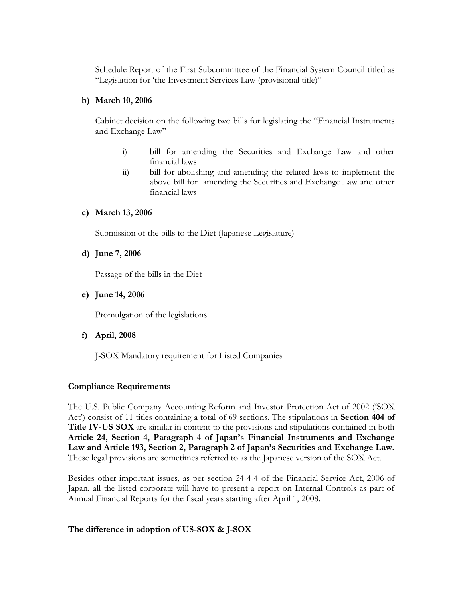Schedule Report of the First Subcommittee of the Financial System Council titled as "Legislation for "the Investment Services Law (provisional title)"

#### **b) March 10, 2006**

Cabinet decision on the following two bills for legislating the "Financial Instruments and Exchange Law"

- i) bill for amending the Securities and Exchange Law and other financial laws
- ii) bill for abolishing and amending the related laws to implement the above bill for amending the Securities and Exchange Law and other financial laws

### **c) March 13, 2006**

Submission of the bills to the Diet (Japanese Legislature)

**d) June 7, 2006**

Passage of the bills in the Diet

**e) June 14, 2006**

Promulgation of the legislations

**f) April, 2008** 

J-SOX Mandatory requirement for Listed Companies

### **Compliance Requirements**

The U.S. Public Company Accounting Reform and Investor Protection Act of 2002 ("SOX Act") consist of 11 titles containing a total of 69 sections. The stipulations in **Section 404 of Title IV-US SOX** are similar in content to the provisions and stipulations contained in both **Article 24, Section 4, Paragraph 4 of Japan's Financial Instruments and Exchange Law and Article 193, Section 2, Paragraph 2 of Japan's Securities and Exchange Law.** These legal provisions are sometimes referred to as the Japanese version of the SOX Act.

Besides other important issues, as per section 24-4-4 of the Financial Service Act, 2006 of Japan, all the listed corporate will have to present a report on Internal Controls as part of Annual Financial Reports for the fiscal years starting after April 1, 2008.

### **The difference in adoption of US-SOX & J-SOX**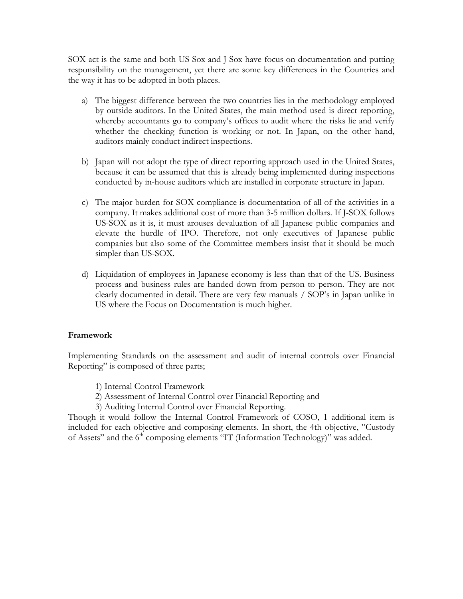SOX act is the same and both US Sox and J Sox have focus on documentation and putting responsibility on the management, yet there are some key differences in the Countries and the way it has to be adopted in both places.

- a) The biggest difference between the two countries lies in the methodology employed by outside auditors. In the United States, the main method used is direct reporting, whereby accountants go to company's offices to audit where the risks lie and verify whether the checking function is working or not. In Japan, on the other hand, auditors mainly conduct indirect inspections.
- b) Japan will not adopt the type of direct reporting approach used in the United States, because it can be assumed that this is already being implemented during inspections conducted by in-house auditors which are installed in corporate structure in Japan.
- c) The major burden for SOX compliance is documentation of all of the activities in a company. It makes additional cost of more than 3-5 million dollars. If J-SOX follows US-SOX as it is, it must arouses devaluation of all Japanese public companies and elevate the hurdle of IPO. Therefore, not only executives of Japanese public companies but also some of the Committee members insist that it should be much simpler than US-SOX.
- d) Liquidation of employees in Japanese economy is less than that of the US. Business process and business rules are handed down from person to person. They are not clearly documented in detail. There are very few manuals / SOP"s in Japan unlike in US where the Focus on Documentation is much higher.

### **Framework**

Implementing Standards on the assessment and audit of internal controls over Financial Reporting" is composed of three parts;

- 1) Internal Control Framework
- 2) Assessment of Internal Control over Financial Reporting and
- 3) Auditing Internal Control over Financial Reporting.

Though it would follow the Internal Control Framework of COSO, 1 additional item is included for each objective and composing elements. In short, the 4th objective, "Custody of Assets" and the 6<sup>th</sup> composing elements "IT (Information Technology)" was added.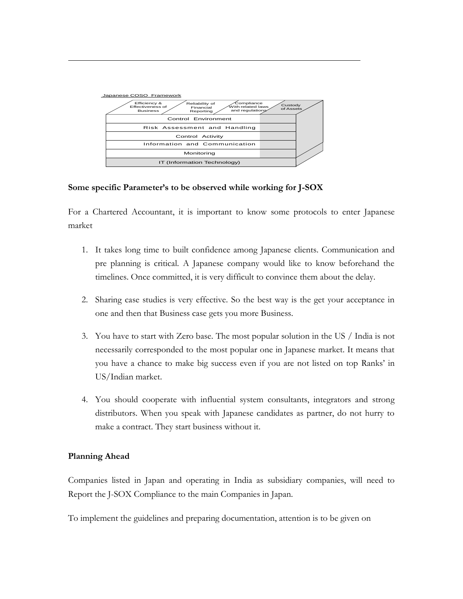

## **Some specific Parameter's to be observed while working for J-SOX**

For a Chartered Accountant, it is important to know some protocols to enter Japanese market

- 1. It takes long time to built confidence among Japanese clients. Communication and pre planning is critical. A Japanese company would like to know beforehand the timelines. Once committed, it is very difficult to convince them about the delay.
- 2. Sharing case studies is very effective. So the best way is the get your acceptance in one and then that Business case gets you more Business.
- 3. You have to start with Zero base. The most popular solution in the US / India is not necessarily corresponded to the most popular one in Japanese market. It means that you have a chance to make big success even if you are not listed on top Ranks" in US/Indian market.
- 4. You should cooperate with influential system consultants, integrators and strong distributors. When you speak with Japanese candidates as partner, do not hurry to make a contract. They start business without it.

# **Planning Ahead**

Companies listed in Japan and operating in India as subsidiary companies, will need to Report the J-SOX Compliance to the main Companies in Japan.

To implement the guidelines and preparing documentation, attention is to be given on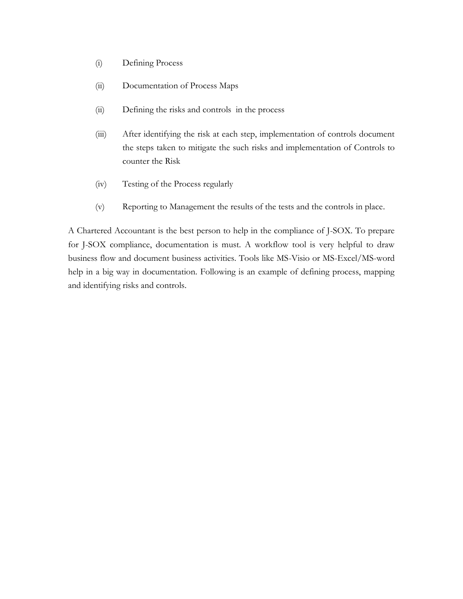- (i) Defining Process
- (ii) Documentation of Process Maps
- (ii) Defining the risks and controls in the process
- (iii) After identifying the risk at each step, implementation of controls document the steps taken to mitigate the such risks and implementation of Controls to counter the Risk
- (iv) Testing of the Process regularly
- (v) Reporting to Management the results of the tests and the controls in place.

A Chartered Accountant is the best person to help in the compliance of J-SOX. To prepare for J-SOX compliance, documentation is must. A workflow tool is very helpful to draw business flow and document business activities. Tools like MS-Visio or MS-Excel/MS-word help in a big way in documentation. Following is an example of defining process, mapping and identifying risks and controls.